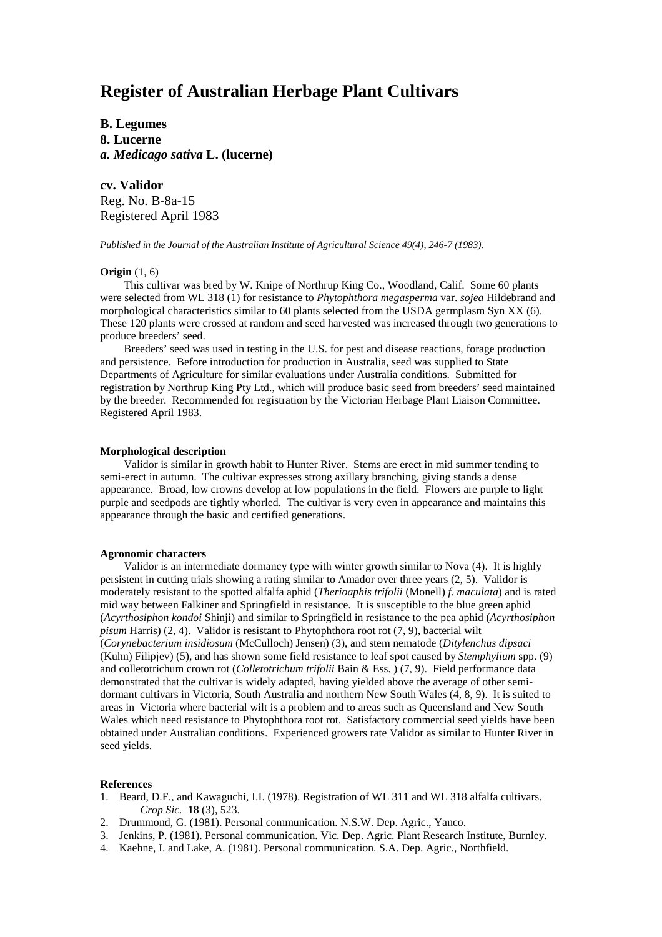# **Register of Australian Herbage Plant Cultivars**

**B. Legumes 8. Lucerne** *a. Medicago sativa* **L. (lucerne)**

**cv. Validor** Reg. No. B-8a-15 Registered April 1983

*Published in the Journal of the Australian Institute of Agricultural Science 49(4), 246-7 (1983).*

## **Origin** (1, 6)

This cultivar was bred by W. Knipe of Northrup King Co., Woodland, Calif. Some 60 plants were selected from WL 318 (1) for resistance to *Phytophthora megasperma* var. *sojea* Hildebrand and morphological characteristics similar to 60 plants selected from the USDA germplasm Syn XX (6). These 120 plants were crossed at random and seed harvested was increased through two generations to produce breeders' seed.

Breeders' seed was used in testing in the U.S. for pest and disease reactions, forage production and persistence. Before introduction for production in Australia, seed was supplied to State Departments of Agriculture for similar evaluations under Australia conditions. Submitted for registration by Northrup King Pty Ltd., which will produce basic seed from breeders' seed maintained by the breeder. Recommended for registration by the Victorian Herbage Plant Liaison Committee. Registered April 1983.

#### **Morphological description**

Validor is similar in growth habit to Hunter River. Stems are erect in mid summer tending to semi-erect in autumn. The cultivar expresses strong axillary branching, giving stands a dense appearance. Broad, low crowns develop at low populations in the field. Flowers are purple to light purple and seedpods are tightly whorled. The cultivar is very even in appearance and maintains this appearance through the basic and certified generations.

# **Agronomic characters**

Validor is an intermediate dormancy type with winter growth similar to Nova (4). It is highly persistent in cutting trials showing a rating similar to Amador over three years (2, 5). Validor is moderately resistant to the spotted alfalfa aphid (*Therioaphis trifolii* (Monell) *f. maculata*) and is rated mid way between Falkiner and Springfield in resistance. It is susceptible to the blue green aphid (*Acyrthosiphon kondoi* Shinji) and similar to Springfield in resistance to the pea aphid (*Acyrthosiphon pisum* Harris) (2, 4). Validor is resistant to Phytophthora root rot (7, 9), bacterial wilt (*Corynebacterium insidiosum* (McCulloch) Jensen) (3), and stem nematode (*Ditylenchus dipsaci* (Kuhn) Filipjev) (5), and has shown some field resistance to leaf spot caused by *Stemphylium* spp. (9) and colletotrichum crown rot (*Colletotrichum trifolii* Bain & Ess. ) (7, 9). Field performance data demonstrated that the cultivar is widely adapted, having yielded above the average of other semidormant cultivars in Victoria, South Australia and northern New South Wales (4, 8, 9). It is suited to areas in Victoria where bacterial wilt is a problem and to areas such as Queensland and New South Wales which need resistance to Phytophthora root rot. Satisfactory commercial seed yields have been obtained under Australian conditions. Experienced growers rate Validor as similar to Hunter River in seed yields.

### **References**

- 1. Beard, D.F., and Kawaguchi, I.I. (1978). Registration of WL 311 and WL 318 alfalfa cultivars. *Crop Sic.* **18** (3), 523.
- 2. Drummond, G. (1981). Personal communication. N.S.W. Dep. Agric., Yanco.
- 3. Jenkins, P. (1981). Personal communication. Vic. Dep. Agric. Plant Research Institute, Burnley.
- 4. Kaehne, I. and Lake, A. (1981). Personal communication. S.A. Dep. Agric., Northfield.